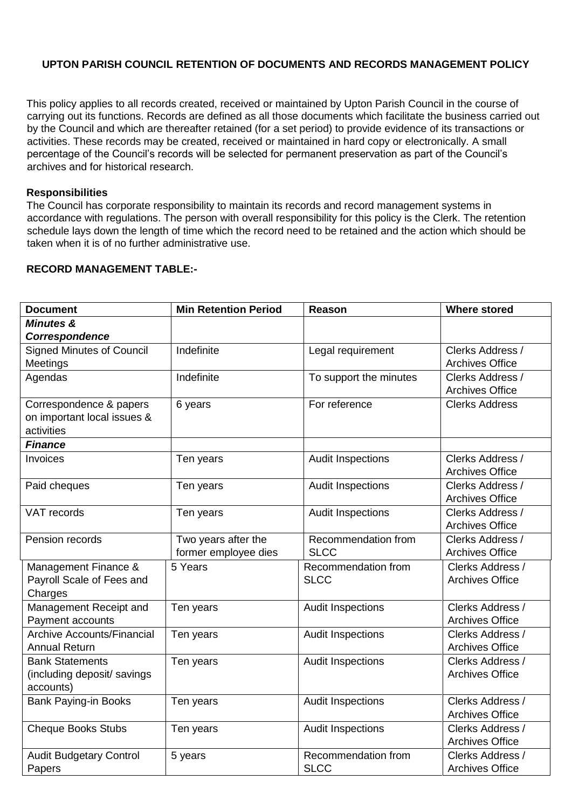## **UPTON PARISH COUNCIL RETENTION OF DOCUMENTS AND RECORDS MANAGEMENT POLICY**

This policy applies to all records created, received or maintained by Upton Parish Council in the course of carrying out its functions. Records are defined as all those documents which facilitate the business carried out by the Council and which are thereafter retained (for a set period) to provide evidence of its transactions or activities. These records may be created, received or maintained in hard copy or electronically. A small percentage of the Council's records will be selected for permanent preservation as part of the Council's archives and for historical research.

## **Responsibilities**

The Council has corporate responsibility to maintain its records and record management systems in accordance with regulations. The person with overall responsibility for this policy is the Clerk. The retention schedule lays down the length of time which the record need to be retained and the action which should be taken when it is of no further administrative use.

## **RECORD MANAGEMENT TABLE:-**

| <b>Document</b>                   | <b>Min Retention Period</b> | Reason                   | <b>Where stored</b>    |
|-----------------------------------|-----------------------------|--------------------------|------------------------|
| <b>Minutes &amp;</b>              |                             |                          |                        |
| Correspondence                    |                             |                          |                        |
| <b>Signed Minutes of Council</b>  | Indefinite                  | Legal requirement        | Clerks Address /       |
| <b>Meetings</b>                   |                             |                          | <b>Archives Office</b> |
| Agendas                           | Indefinite                  | To support the minutes   | Clerks Address /       |
|                                   |                             |                          | <b>Archives Office</b> |
| Correspondence & papers           | 6 years                     | For reference            | <b>Clerks Address</b>  |
| on important local issues &       |                             |                          |                        |
| activities                        |                             |                          |                        |
| <b>Finance</b>                    |                             |                          |                        |
| Invoices                          | Ten years                   | <b>Audit Inspections</b> | Clerks Address /       |
|                                   |                             |                          | <b>Archives Office</b> |
| Paid cheques                      | Ten years                   | <b>Audit Inspections</b> | Clerks Address /       |
|                                   |                             |                          | <b>Archives Office</b> |
| <b>VAT records</b>                | Ten years                   | <b>Audit Inspections</b> | Clerks Address /       |
|                                   |                             |                          | <b>Archives Office</b> |
| Pension records                   | Two years after the         | Recommendation from      | Clerks Address /       |
|                                   | former employee dies        | <b>SLCC</b>              | <b>Archives Office</b> |
| Management Finance &              | 5 Years                     | Recommendation from      | Clerks Address /       |
| Payroll Scale of Fees and         |                             | <b>SLCC</b>              | <b>Archives Office</b> |
| Charges                           |                             |                          |                        |
| Management Receipt and            | Ten years                   | <b>Audit Inspections</b> | Clerks Address /       |
| Payment accounts                  |                             |                          | <b>Archives Office</b> |
| <b>Archive Accounts/Financial</b> | Ten years                   | <b>Audit Inspections</b> | Clerks Address /       |
| <b>Annual Return</b>              |                             |                          | <b>Archives Office</b> |
| <b>Bank Statements</b>            | Ten years                   | <b>Audit Inspections</b> | Clerks Address /       |
| (including deposit/ savings       |                             |                          | <b>Archives Office</b> |
| accounts)                         |                             |                          |                        |
| <b>Bank Paying-in Books</b>       | Ten years                   | <b>Audit Inspections</b> | Clerks Address /       |
|                                   |                             |                          | <b>Archives Office</b> |
| <b>Cheque Books Stubs</b>         | Ten years                   | <b>Audit Inspections</b> | Clerks Address /       |
|                                   |                             |                          | <b>Archives Office</b> |
| <b>Audit Budgetary Control</b>    | 5 years                     | Recommendation from      | Clerks Address /       |
| Papers                            |                             | <b>SLCC</b>              | <b>Archives Office</b> |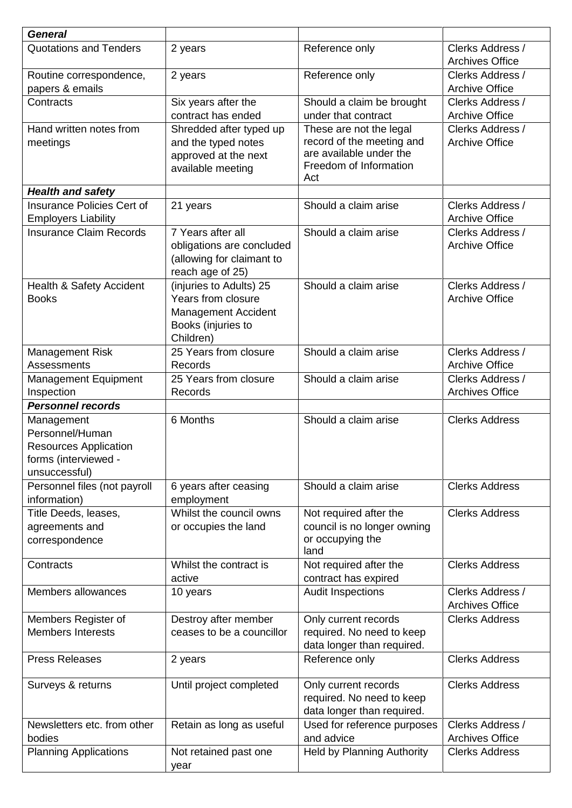| <b>General</b>                             |                           |                                                 |                                                 |
|--------------------------------------------|---------------------------|-------------------------------------------------|-------------------------------------------------|
| <b>Quotations and Tenders</b>              | 2 years                   | Reference only                                  | Clerks Address /<br><b>Archives Office</b>      |
| Routine correspondence,<br>papers & emails | 2 years                   | Reference only                                  | Clerks Address /<br><b>Archive Office</b>       |
| Contracts                                  | Six years after the       | Should a claim be brought                       | Clerks Address /                                |
|                                            | contract has ended        | under that contract                             | <b>Archive Office</b>                           |
| Hand written notes from                    | Shredded after typed up   | These are not the legal                         | Clerks Address /                                |
| meetings                                   | and the typed notes       | record of the meeting and                       | <b>Archive Office</b>                           |
|                                            | approved at the next      | are available under the                         |                                                 |
|                                            | available meeting         | Freedom of Information<br>Act                   |                                                 |
| <b>Health and safety</b>                   |                           |                                                 |                                                 |
| <b>Insurance Policies Cert of</b>          | 21 years                  | Should a claim arise                            | Clerks Address /                                |
| <b>Employers Liability</b>                 |                           |                                                 | <b>Archive Office</b>                           |
| <b>Insurance Claim Records</b>             | 7 Years after all         | Should a claim arise                            | Clerks Address /                                |
|                                            | obligations are concluded |                                                 | <b>Archive Office</b>                           |
|                                            | (allowing for claimant to |                                                 |                                                 |
|                                            | reach age of 25)          |                                                 |                                                 |
| Health & Safety Accident                   | (injuries to Adults) 25   | Should a claim arise                            | Clerks Address /                                |
| <b>Books</b>                               | Years from closure        |                                                 | <b>Archive Office</b>                           |
|                                            | Management Accident       |                                                 |                                                 |
|                                            | Books (injuries to        |                                                 |                                                 |
|                                            | Children)                 |                                                 |                                                 |
| <b>Management Risk</b>                     | 25 Years from closure     | Should a claim arise                            | Clerks Address /                                |
| Assessments                                | Records                   |                                                 | <b>Archive Office</b>                           |
| <b>Management Equipment</b>                | 25 Years from closure     | Should a claim arise                            | Clerks Address /                                |
| Inspection                                 | Records                   |                                                 | <b>Archives Office</b>                          |
| <b>Personnel records</b>                   |                           |                                                 |                                                 |
| Management                                 | 6 Months                  | Should a claim arise                            | <b>Clerks Address</b>                           |
| Personnel/Human                            |                           |                                                 |                                                 |
| <b>Resources Application</b>               |                           |                                                 |                                                 |
| forms (interviewed -                       |                           |                                                 |                                                 |
| unsuccessful)                              |                           |                                                 |                                                 |
| Personnel files (not payroll               | 6 years after ceasing     | Should a claim arise                            | <b>Clerks Address</b>                           |
| information)                               | employment                |                                                 |                                                 |
| Title Deeds, leases,                       | Whilst the council owns   | Not required after the                          | <b>Clerks Address</b>                           |
| agreements and                             | or occupies the land      | council is no longer owning                     |                                                 |
| correspondence                             |                           | or occupying the<br>land                        |                                                 |
| Contracts                                  | Whilst the contract is    | Not required after the                          | <b>Clerks Address</b>                           |
|                                            | active                    | contract has expired                            |                                                 |
| Members allowances                         | 10 years                  | <b>Audit Inspections</b>                        | Clerks Address /                                |
|                                            |                           |                                                 | <b>Archives Office</b>                          |
| Members Register of                        | Destroy after member      | Only current records                            | <b>Clerks Address</b>                           |
| <b>Members Interests</b>                   | ceases to be a councillor | required. No need to keep                       |                                                 |
|                                            |                           | data longer than required.                      |                                                 |
| <b>Press Releases</b>                      | 2 years                   | Reference only                                  | <b>Clerks Address</b>                           |
|                                            |                           |                                                 |                                                 |
| Surveys & returns                          |                           |                                                 | <b>Clerks Address</b>                           |
|                                            | Until project completed   | Only current records                            |                                                 |
|                                            |                           | required. No need to keep                       |                                                 |
|                                            |                           | data longer than required.                      |                                                 |
| Newsletters etc. from other                | Retain as long as useful  | Used for reference purposes                     | Clerks Address /                                |
| bodies<br><b>Planning Applications</b>     | Not retained past one     | and advice<br><b>Held by Planning Authority</b> | <b>Archives Office</b><br><b>Clerks Address</b> |